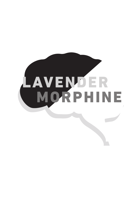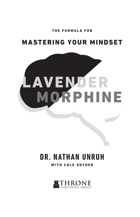THE FORMULA FOR

### MASTERING YOUR MINDSET



# **DR. NATHAN UNRUH**

WITH COLE SNYDER

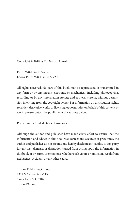Copyright © 2018 by Dr. Nathan Unruh

ISBN: 978-1-945255-71-7 Ebook ISBN: 978-1-945255-72-4

All rights reserved. No part of this book may be reproduced or transmitted in any form or by any means, electronic or mechanical, including photocopying, recording or by any information storage and retrieval system, without permission in writing from the copyright owner. For information on distribution rights, royalties, derivative works or licensing opportunities on behalf of this content or work, please contact the publisher at the address below.

Printed in the United States of America.

Although the author and publisher have made every effort to ensure that the information and advice in this book was correct and accurate at press time, the author and publisher do not assume and hereby disclaim any liability to any party for any loss, damage, or disruption caused from acting upon the information in this book or by errors or omissions, whether such errors or omissions result from negligence, accident, or any other cause.

Throne Publishing Group 2329 N Career Ave #215 Sioux Falls, SD 57107 ThronePG.com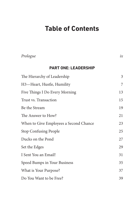# **Table of Contents**

| Prologue                               | ix |
|----------------------------------------|----|
| <b>PART ONE: LEADERSHIP</b>            |    |
| The Hierarchy of Leadership            | 3  |
| H3-Heart, Hustle, Humility             | 7  |
| Five Things I Do Every Morning         | 13 |
| Trust vs. Transaction                  | 15 |
| Be the Stream                          | 19 |
| The Answer to How?                     | 21 |
| When to Give Employees a Second Chance | 23 |
| <b>Stop Confusing People</b>           | 25 |
| Ducks on the Pond                      | 27 |
| Set the Edges                          | 29 |
| I Sent You an Email!                   | 31 |
| Speed Bumps in Your Business           | 35 |
| What is Your Purpose?                  | 37 |
| Do You Want to be Free?                | 39 |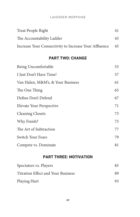#### LAVENDER MORPHINE

| Treat People Right                                    | 41 |
|-------------------------------------------------------|----|
| The Accountability Ladder                             | 43 |
| Increase Your Connectivity to Increase Your Affluence | 45 |

#### **Part two: CHANGE**

| Being Uncomfortable               | 53 |
|-----------------------------------|----|
| I Just Don't Have Time!           | 57 |
| Van Halen, M&M's, & Your Business | 61 |
| The One Thing                     | 65 |
| Define Don't Defend               | 67 |
| Elevate Your Perspective          | 71 |
| <b>Cleaning Closets</b>           | 73 |
| Why Finish?                       | 75 |
| The Art of Subtraction            | 77 |
| Switch Your Fears                 | 79 |
| Compete vs. Dominate              | 81 |

#### **Part three: MOTIVATION**

| Spectators vs. Players                    | 85 |  |
|-------------------------------------------|----|--|
| <b>Titration Effect and Your Business</b> | 89 |  |
| Playing Hurt                              | 93 |  |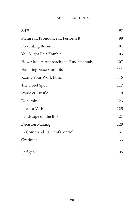#### table of contents

| 8.4%                                  | 97  |
|---------------------------------------|-----|
| Picture It, Pronounce It, Perform It  | 99  |
| <b>Preventing Burnout</b>             | 101 |
| You Might Be a Zombie                 | 103 |
| How Masters Approach the Fundamentals | 107 |
| <b>Handling False Summits</b>         | 111 |
| Rating Your Work Ethic                | 115 |
| The Sweet Spot                        | 117 |
| Work vs. Hustle                       | 119 |
| Dopamine                              | 123 |
| Life is a Verb!                       | 125 |
| Landscape on the Box                  | 127 |
| <b>Decision Making</b>                | 129 |
| In CommandOut of Control              | 131 |
| Gratitude                             | 133 |
| Epilogue                              | 135 |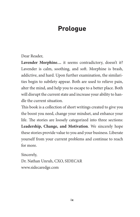# **Prologue**

#### Dear Reader,

**Lavender Morphine…** it seems contradictory, doesn't it? Lavender is calm, soothing, and soft. Morphine is brash, addictive, and hard. Upon further examination, the similarities begin to subtlety appear. Both are used to relieve pain, alter the mind, and help you to escape to a better place. Both will disrupt the current state and increase your ability to handle the current situation.

This book is a collection of short writings created to give you the boost you need, change your mindset, and enhance your life. The stories are loosely categorized into three sections: **Leadership, Change, and Motivation**. We sincerely hope these stories provide value to you and your business. Liberate yourself from your current problems and continue to reach for more.

Sincerely,

Dr. Nathan Unruh, CXO, SIDECAR www.sidecaredge.com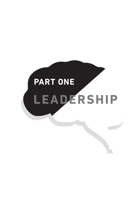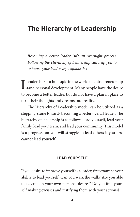### **The Hierarchy of Leadership**

*Becoming a better leader isn't an overnight process. Following the Hierarchy of Leadership can help you to enhance your leadership capabilities.* 

Leadership is a hot topic in the world of entrepreneurship<br>
Land personal development. Many people have the desire to become a better leader, but do not have a plan in place to turn their thoughts and dreams into reality.

The Hierarchy of Leadership model can be utilized as a stepping-stone towards becoming a better overall leader. The hierarchy of leadership is as follows: lead yourself, lead your family, lead your team, and lead your community. This model is a progression; you will struggle to lead others if you first cannot lead yourself.

#### **Lead Yourself**

If you desire to improve yourself as a leader, first examine your ability to lead yourself. Can you walk the walk? Are you able to execute on your own personal desires? Do you find yourself making excuses and justifying them with your actions?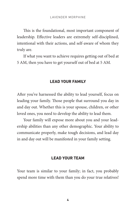This is the foundational, most important component of leadership. Effective leaders are extremely self-disciplined, intentional with their actions, and self-aware of whom they truly are.

If what you want to achieve requires getting out of bed at 5 AM, then you have to get yourself out of bed at 5 AM.

#### **Lead your Family**

After you've harnessed the ability to lead yourself, focus on leading your family. Those people that surround you day in and day out. Whether this is your spouse, children, or other loved ones, you need to develop the ability to lead them.

Your family will expose more about you and your leadership abilities than any other demographic. Your ability to communicate properly, make tough decisions, and lead day in and day out will be manifested in your family setting.

#### **Lead your Team**

Your team is similar to your family; in fact, you probably spend more time with them than you do your true relatives!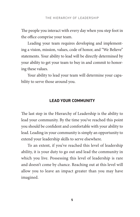The people you interact with every day when you step foot in the office comprise your team.

Leading your team requires developing and implementing a vision, mission, values, code of honor, and "We Believe" statements. Your ability to lead will be directly determined by your ability to get your team to buy in and commit to honoring these values.

Your ability to lead your team will determine your capability to serve those around you.

#### **Lead your Community**

The last step in the Hierarchy of Leadership is the ability to lead your community. By the time you've reached this point you should be confident and comfortable with your ability to lead. Leading in your community is simply an opportunity to extend your leadership skills to serve elsewhere.

To an extent, if you've reached this level of leadership ability, it is your duty to go out and lead the community in which you live. Possessing this level of leadership is rare and doesn't come by chance. Reaching out at this level will allow you to leave an impact greater than you may have imagined.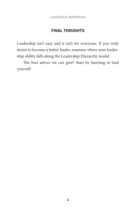#### **Final Thoughts**

Leadership isn't easy and it isn't for everyone. If you truly desire to become a better leader, examine where your leadership ability falls along the Leadership Hierarchy model.

The best advice we can give? Start by learning to lead yourself.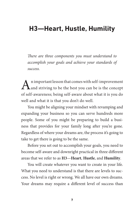### **H3—Heart, Hustle, Humility**

*There are three components you must understand to accomplish your goals and achieve your standards of success.* 

An important lesson that comes with self-improvement<br>
and striving to be the best you can be is the concept of self-awareness; being self-aware about what it is you do well and what it is that you don't do well.

You might be aligning your mindset with revamping and expanding your business so you can serve hundreds more people. Some of you might be preparing to build a business that provides for your family long after you're gone. Regardless of where your dreams are, the process it's going to take to get there is going to be the same.

Before you set out to accomplish your goals, you need to become self-aware and downright practical in three different areas that we refer to as **H3**—**Heart**, **Hustle**, and **Humility**.

You will create whatever you want to create in your life. What you need to understand is that there are levels to success. No level is right or wrong. We all have our own dreams. Your dreams may require a different level of success than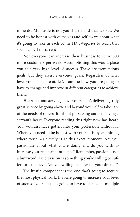mine do. My hustle is not your hustle and that is okay. We need to be honest with ourselves and self-aware about what it's going to take in each of the H3 categories to reach that specific level of success.

Not everyone can increase their business to serve 500 more customers per week. Accomplishing this would place you at a very high level of success. These are tremendous goals, but they aren't everyone's goals. Regardless of what level your goals are at, let's examine how you are going to have to change and improve in different categories to achieve them.

**Heart** is about serving above yourself. It's delivering truly great service by going above and beyond yourself to take care of the needs of others. It's about possessing and displaying a servant's heart. Everyone reading this right now has heart. You wouldn't have gotten into your profession without it. Where you need to be honest with yourself is by examining where your heart truly is at this exact moment. Are you passionate about what you're doing and do you wish to increase your reach and influence? Remember, passion is not a buzzword. True passion is something you're willing to suffer for to achieve. Are you willing to suffer for your dreams?

The **hustle** component is the one that's going to require the most physical work. If you're going to increase your level of success, your hustle is going to have to change in multiple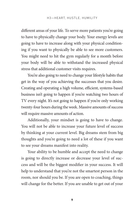different areas of your life. To serve more patients you're going to have to physically change your body. Your energy levels are going to have to increase along with your physical conditioning if you want to physically be able to see more customers. You might need to hit the gym regularly for a month before your body will be able to withstand the increased physical stress that additional customer visits requires.

You're also going to need to change your lifestyle habits that get in the way of you achieving the successes that you desire. Creating and operating a high volume, efficient, systems-based business isn't going to happen if you're watching two hours of TV every night. It's not going to happen if you're only working twenty-four hours during the week. Massive amounts of success will require massive amounts of action.

Additionally, your mindset is going to have to change. You will not be able to increase your future level of success by thinking at your current level. Big dreams stem from big thoughts and you're going to need a lot of these if you want to see your dreams manifest into reality.

Your ability to be humble and accept the need to change is going to directly increase or decrease your level of success and will be the biggest modifier in your success. It will help to understand that you're not the smartest person in the room, nor should you be. If you are open to coaching, things will change for the better. If you are unable to get out of your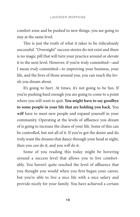comfort zone and be pushed to new things, you are going to stay at the same level.

This is just the truth of what it takes to be ridiculously successful. "Overnight" success stories do not exist and there is no magic pill that will turn your practice around or elevate it to the next level. However, if you're truly committed—and I mean *truly* committed—to improving your business, your life, and the lives of those around you, you can reach the levels you dream about.

It's going to hurt. At times, it's not going to be fun. If you're pushing hard enough you are going to come to a point where you will want to quit. **You might have to say goodbye to some people in your life that are holding you back.** You *will* have to meet new people and expand yourself in your community. Operating at the levels of affluence you dream of is going to increase the chaos of your life. Some of this can be controlled, but not all of it. If you've got the desire and do truly want the dreams that dance through your head at night, then you *can* do it, and you *will* do it.

Some of you reading this today might be hovering around a success level that allows you to live comfortably. You haven't quite reached the level of affluence that you thought you would when you first began your career, but you're able to live a nice life with a nice salary and provide nicely for your family. You have achieved a certain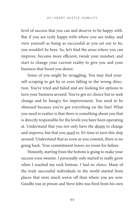level of success that you can and deserve to be happy with. But if you are truly happy with where you are today, and view yourself as being as successful as you set out to be, you wouldn't be here. So, let's find the areas where you can improve, become more efficient, tweak your mindset, and start to change your current reality to give you and your business that boost you desire.

Some of you might be struggling. You may find yourself scraping to get by or even falling in the wrong direction. You've tried and failed and are looking for options to turn your business around. You've got no choice but to seek change and be hungry for improvement. You need to be obsessed because you've got everything on the line! What you need to realize is that there is something about you that is directly responsible for the levels you have been operating at. Understand that you not only have the desire to change and improve, but that you need to. It's time to turn this ship around. Understand that as soon as you commit, there is no going back. True commitment leaves no room for failure.

Honestly, starting from the bottom is going to make your success even sweeter. I personally only started to really grow when I reached my rock bottom. *I had no choice.* Many of the truly successful individuals in the world started from places that were much worse off than where you are now. Gandhi was in prison and Steve Jobs was fired from his own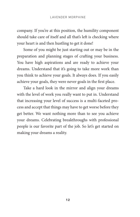company. If you're at this position, the humility component should take care of itself and all that's left is checking where your heart is and then hustling to get it done!

Some of you might be just starting out or may be in the preparation and planning stages of crafting your business. You have high aspirations and are ready to achieve your dreams. Understand that it's going to take more work than you think to achieve your goals. It always does. If you easily achieve your goals, they were never goals in the first place.

Take a hard look in the mirror and align your dreams with the level of work you really want to put in. Understand that increasing your level of success is a multi-faceted process and accept that things may have to get worse before they get better. We want nothing more than to see you achieve your dreams. Celebrating breakthroughs with professional people is our favorite part of the job. So let's get started on making your dreams a reality.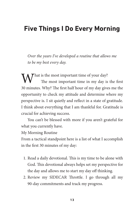### **Five Things I Do Every Morning**

*Over the years I've developed a routine that allows me to be my best every day.* 

 $\mathcal T$  hat is the most important time of your day? The most important time in my day is the first 30 minutes. Why? The first half hour of my day gives me the opportunity to check my attitude and determine where my perspective is. I sit quietly and reflect in a state of gratitude. I think about everything that I am thankful for. Gratitude is crucial for achieving success.

You can't be blessed with more if you aren't grateful for what you currently have.

My Morning Routine

From a tactical standpoint here is a list of what I accomplish in the first 30 minutes of my day:

- 1. Read a daily devotional. This is my time to be alone with God. This devotional always helps set my perspective for the day and allows me to start my day off thinking.
- 2. Review my SIDECAR Throttle. I go through all my 90-day commitments and track my progress.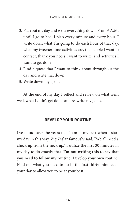- 3. Plan out my day and write everything down. From 6 A.M. until I go to bed, I plan every minute and every hour. I write down what I'm going to do each hour of that day, what my tweener time activities are, the people I want to contact, thank you notes I want to write, and activities I want to get done.
- 4. Find a quote that I want to think about throughout the day and write that down.
- 5. Write down my goals.

At the end of my day I reflect and review on what went well, what I didn't get done, and re-write my goals.

#### **Develop Your Routine**

I've found over the years that I am at my best when I start my day in this way. Zig Ziglar famously said, "We all need a check up from the neck up." I utilize the first 30 minutes in my day to do exactly that. **I'm not writing this to say that you need to follow my routine.** Develop your own routine! Find out what you need to do in the first thirty minutes of your day to allow you to be at your best.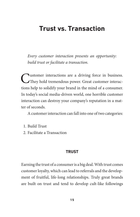### **Trust vs. Transaction**

*Every customer interaction presents an opportunity: build trust or facilitate a transaction.* 

Customer interactions are a driving force in business.<br>
They hold tremendous power. Great customer interactions help to solidify your brand in the mind of a consumer. In today's social media-driven world, one horrible customer interaction can destroy your company's reputation in a matter of seconds.

A customer interaction can fall into one of two categories:

- 1. Build Trust
- 2. Facilitate a Transaction

#### **Trust**

Earning the trust of a consumer is a big deal. With trust comes customer loyalty, which can lead to referrals and the development of fruitful, life-long relationships. Truly great brands are built on trust and tend to develop cult-like followings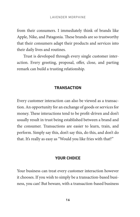from their consumers. I immediately think of brands like Apple, Nike, and Patagonia. These brands are so trustworthy that their consumers adapt their products and services into their daily lives and routines.

Trust is developed through every single customer interaction. Every greeting, proposal, offer, close, and parting remark can build a trusting relationship.

#### **Transaction**

Every customer interaction can also be viewed as a transaction. An opportunity for an exchange of goods or services for money. These interactions tend to be profit-driven and don't usually result in trust being established between a brand and the consumer. Transactions are easier to learn, train, and perform. Simply say this, don't say this, do this, and don't do that. It's really as easy as "Would you like fries with that?"

#### **Your Choice**

Your business can treat every customer interaction however it chooses. If you wish to simply be a transaction-based business, you can! But beware, with a transaction-based business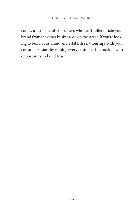comes a turnstile of consumers who can't differentiate your brand from the other business down the street. If you're looking to build your brand and establish relationships with your consumers, start by valuing every customer interaction as an opportunity to build trust.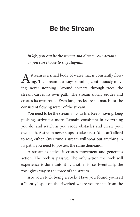### **Be the Stream**

*In life, you can be the stream and dictate your actions, or you can choose to stay stagnant.* 

A stream is a small body of water that is constantly flow-<br>ing. The stream is always running, continuously moving, never stopping. Around corners, through trees, the stream carves its own path. The stream slowly erodes and creates its own route. Even large rocks are no match for the consistent flowing water of the stream.

You need to be the stream in your life. Keep moving, keep pushing, strive for more. Remain consistent in everything you do, and watch as you erode obstacles and create your own path. A stream never stops to take a rest. You can't afford to rest, either. Over time a stream will wear out anything in its path; you need to possess the same demeanor.

A stream is active; it creates movement and generates action. The rock is passive. The only action the rock will experience is done unto it by another force. Eventually, the rock gives way to the force of the stream.

Are you stuck being a rock? Have you found yourself a "comfy" spot on the riverbed where you're safe from the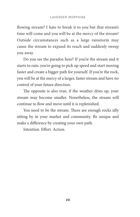flowing stream? I hate to break it to you but that stream's time will come and you will be at the mercy of the stream! Outside circumstances such as a large rainstorm may cause the stream to expand its reach and suddenly sweep you away.

Do you see the paradox here? If you're the stream and it starts to rain, you're going to pick up speed and start moving faster and create a bigger path for yourself. If you're the rock, you will be at the mercy of a larger, faster stream and have no control of your future direction.

The opposite is also true, if the weather dries up, your stream may become smaller. Nonetheless, the stream will continue to flow and move until it is replenished.

You need to be the stream. There are enough rocks idly sitting by in your market and community. Be unique and make a difference by creating your own path.

Intention. Effort. Action.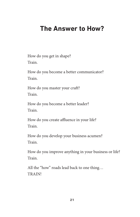### **The Answer to How?**

How do you get in shape? Train.

How do you become a better communicator? Train.

How do you master your craft? Train.

How do you become a better leader? Train.

How do you create affluence in your life? Train.

How do you develop your business acumen? Train.

How do you improve anything in your business or life? Train.

All the "how" roads lead back to one thing… TRAIN!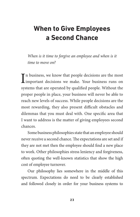# **When to Give Employees a Second Chance**

*When is it time to forgive an employee and when is it time to move on?*

In business, we know that people decisions are the most<br>important decisions we make. Your business runs on In business, we know that people decisions are the most systems that are operated by qualified people. Without the proper people in place, your business will never be able to reach new levels of success. While people decisions are the most rewarding, they also present difficult obstacles and dilemmas that you must deal with. One specific area that I want to address is the matter of giving employees second chances.

Some business philosophies state that an employee should never receive a second chance. The expectations are set and if they are not met then the employee should find a new place to work. Other philosophies stress leniency and forgiveness, often quoting the well-known statistics that show the high cost of employee turnover.

Our philosophy lies somewhere in the middle of this spectrum. Expectations do need to be clearly established and followed closely in order for your business systems to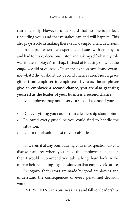run efficiently. However, understand that no one is perfect, (including you,) and that mistakes can and will happen. This also plays a role in making these crucial employment decisions.

In the past when I've experienced issues with employees and had to make decisions, I stop and ask myself what my role was in the employee's mishap. Instead of focusing on what the *employee* did or didn't do, I turn the light on myself and examine what *I* did or didn't do. Second chances aren't just a grace gifted from employer to employee. **If you as the employer give an employee a second chance, you are also granting yourself as the leader of your business a second chance.**

An employee may not deserve a second chance if you:

- Did everything you could from a leadership standpoint.
- Followed every guideline you could find to handle the situation.
- Led to the absolute best of your abilities.

However, if at any point during your introspection do you discover an area where you failed the employee as a leader, then I would recommend you take a long, hard look in the mirror before making any decisions on that employee's future.

Recognize that errors are made by good employees and understand the consequences of every personnel decision you make.

**EVERYTHING** in a business rises and falls on leadership.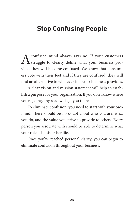### **Stop Confusing People**

A confused mind always says no. If your customers<br>struggle to clearly define what your business provides they will become confused. We know that consumers vote with their feet and if they are confused, they will find an alternative to whatever it is your business provides.

A clear vision and mission statement will help to establish a purpose for your organization. If you don't know where you're going, any road will get you there.

To eliminate confusion, you need to start with your own mind. There should be no doubt about who you are, what you do, and the value you strive to provide to others. Every person you associate with should be able to determine what your role is in his or her life.

Once you've reached personal clarity, you can begin to eliminate confusion throughout your business.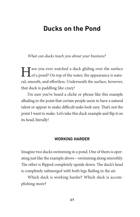### **Ducks on the Pond**

*What can ducks teach you about your business?* 

I ave you ever watched a duck gliding over the surface of a pond? On top of the water, the appearance is natural, smooth, and effortless. Underneath the surface, however, that duck is paddling like crazy!

I'm sure you've heard a cliché or phrase like this example alluding to the point that certain people seem to have a natural talent or appear to make difficult tasks look easy. That's not the point I want to make. Let's take this duck example and flip it on its head, literally!

### **Working Harder**

Imagine two ducks swimming in a pond. One of them is operating just like the example above—swimming along smoothly. The other is flipped completely upside down. The duck's head is completely submerged with both legs flailing in the air.

Which duck is working harder? Which duck is accomplishing more?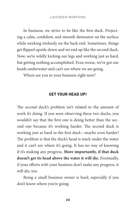In business, we strive to be like the first duck. Projecting a calm, confident, and smooth demeanor on the surface while working tirelessly on the back end. Sometimes, things get flipped upside down and we end up like the second duck. Now, we're wildly kicking our legs and working just as hard, but getting nothing accomplished. Even worse, we've got our heads underwater and can't see where we are going.

Where are you in your business right now?

### **Get Your Head Up!**

The second duck's problem isn't related to the amount of work it's doing. If you were observing these two ducks, you wouldn't say that the first one is doing better than the second one because it's working harder. The second duck is working just as hard as the first duck—maybe even harder! The problem is that the duck's head is stuck under the water and it can't see where it's going. It has no way of knowing if it's making any progress. **More importantly, if that duck doesn't get its head above the water it will die.** Eventually, if your efforts with your business don't make any progress, it will die, too.

Being a small business owner is hard, especially if you don't know where you're going.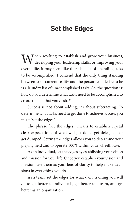## **Set the Edges**

When working to establish and grow your business,<br>developing your leadership skills, or improving your overall life, it may seem like there is a list of unending tasks to be accomplished. I contend that the only thing standing between your current reality and the person you desire to be is a laundry list of unaccomplished tasks. So, the question is: how do you determine what tasks need to be accomplished to create the life that you desire?

Success is not about adding; it's about subtracting. To determine what tasks need to get done to achieve success you must "set the edges."

The phrase "set the edges," means to establish crystal clear expectations of what will get done, get delegated, or get dumped. Setting the edges allows you to determine your playing field and to operate 100% within your wheelhouse.

As an individual, set the edges by establishing your vision and mission for your life. Once you establish your vision and mission, use them as your lens of clarity to help make decisions in everything you do.

As a team, set the edges for what daily training you will do to get better as individuals, get better as a team, and get better as an organization.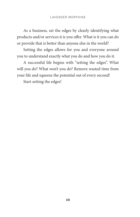As a business, set the edges by clearly identifying what products and/or services it is you offer. What is it you can do or provide that is better than anyone else in the world?

Setting the edges allows for you and everyone around you to understand exactly what you do and how you do it.

A successful life begins with "setting the edges". What will you do? What won't you do? Remove wasted time from your life and squeeze the potential out of every second!

Start setting the edges!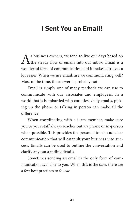## **I Sent You an Email!**

As business owners, we tend to live our days based on the steady flow of emails into our inbox. Email is a wonderful form of communication and it makes our lives a lot easier. When we use email, are we communicating well? Most of the time, the answer is probably not.

Email is simply one of many methods we can use to communicate with our associates and employees. In a world that is bombarded with countless daily emails, picking up the phone or talking in person can make all the difference.

When coordinating with a team member, make sure you or your staff always reaches out via phone or in-person when possible. This provides the personal touch and clear communication that will catapult your business into success. Emails can be used to outline the conversation and clarify any outstanding details.

Sometimes sending an email is the only form of communication available to you. When this is the case, there are a few best practices to follow.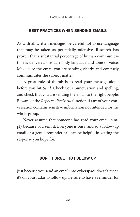### **Best Practices When Sending Emails**

As with all written messages, be careful not to use language that may be taken as potentially offensive. Research has proven that a substantial percentage of human communication is delivered through body language and tone of voice. Make sure the email you are sending clearly and concisely communicates the subject matter.

A great rule of thumb is to read your message aloud before you hit *Send*. Check your punctuation and spelling, and check that you are sending the email to the right people. Beware of the *Reply* vs. *Reply All* function if any of your conversation contains sensitive information not intended for the whole group.

Never assume that someone has read your email, simply because you sent it. Everyone is busy, and so a follow-up email or a gentle reminder call can be helpful in getting the response you hope for.

### **Don't Forget to Follow Up**

Just because you send an email into cyberspace doesn't mean it's off your radar to follow up. Be sure to have a reminder for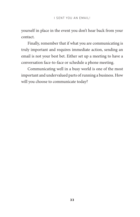yourself in place in the event you don't hear back from your contact.

Finally, remember that if what you are communicating is truly important and requires immediate action, sending an email is not your best bet. Either set up a meeting to have a conversation face-to-face or schedule a phone meeting.

Communicating well in a busy world is one of the most important and undervalued parts of running a business. How will you choose to communicate today?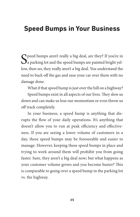## **Speed Bumps in Your Business**

 $\bigcap$  peed bumps aren't really a big deal, are they? If you're in  $\mathbf{\mathcal{Q}}$  a parking lot and the speed bumps are painted bright yellow, then no, they really aren't a big deal. You understand the need to back off the gas and ease your car over them with no damage done.

What if that speed bump is just over the hill on a highway?

Speed bumps exist in all aspects of our lives. They slow us down and can make us lose our momentum or even throw us off track completely.

In your business, a speed bump is anything that disrupts the flow of your daily operations. It's anything that doesn't allow you to run at peak efficiency and effectiveness. If you are seeing a lower volume of customers in a day, these speed bumps may be foreseeable and easier to manage. However, keeping these speed bumps in place and trying to work around them will prohibit you from going faster. Sure, they aren't a big deal now; but what happens as your customer volume grows and you become busier? This is comparable to going over a speed bump in the parking lot vs. the highway.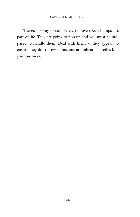There's no way to completely remove speed bumps. It's part of life. They are going to pop up and you must be prepared to handle them. Deal with them as they appear, to ensure they don't grow to become an unbearable setback in your business.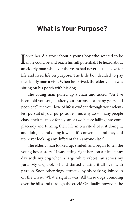## **What is Your Purpose?**

I once heard a story about a young boy who wanted to be all he could be and reach his full potential. He heard about an elderly man who over the years had never lost his love for life and lived life on purpose. The little boy decided to pay the elderly man a visit. When he arrived, the elderly man was sitting on his porch with his dog.

The young man pulled up a chair and asked, "Sir I've been told you sought after your purpose for many years and people tell me your love of life is evident through your relentless pursuit of your purpose. Tell me, why do so many people chase their purpose for a year or two before falling into complacency and turning their life into a ritual of just doing it, and doing it, and doing it when it's convenient and they end up never looking any different than anyone else?"

The elderly man looked up, smiled, and began to tell the young boy a story. "I was sitting right here on a nice sunny day with my dog when a large white rabbit ran across my yard. My dog took off and started chasing it all over with passion. Soon other dogs, attracted by his barking, joined in on the chase. What a sight it was! All these dogs bounding over the hills and through the creek! Gradually, however, the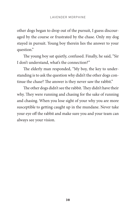other dogs began to drop out of the pursuit, I guess discouraged by the course or frustrated by the chase. Only my dog stayed in pursuit. Young boy therein lies the answer to your question."

The young boy sat quietly, confused. Finally, he said, "Sir I don't understand, what's the connection?"

The elderly man responded, "My boy, the key to understanding is to ask the question why didn't the other dogs continue the chase? The answer is they never saw the rabbit."

The other dogs didn't see the rabbit. They didn't have their why. They were running and chasing for the sake of running and chasing. When you lose sight of your why you are more susceptible to getting caught up in the mundane. Never take your eye off the rabbit and make sure you and your team can always see your vision.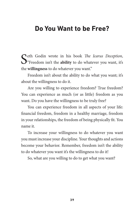### **Do You Want to be Free?**

Seth Godin wrote in his book *The Icarus Deception*, <br>"Freedom isn't the **ability** to do whatever you want, it's the **willingness** to do whatever you want."

Freedom isn't about the ability to do what you want; it's about the willingness to do it.

Are you willing to experience freedom? True freedom? You can experience as much (or as little) freedom as you want. Do you have the willingness to be truly free?

You can experience freedom in all aspects of your life: financial freedom, freedom in a healthy marriage, freedom in your relationships, the freedom of being physically fit. You name it.

To increase your willingness to do whatever you want you must increase your discipline. Your thoughts and actions become your behavior. Remember, freedom isn't the ability to do whatever you want it's the willingness to do it!

So, what are you willing to do to get what you want?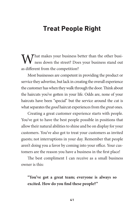## **Treat People Right**

What makes your business better than the other busi-<br>ness down the street? Does your business stand out as different from the competition?

Most businesses are competent in providing the product or service they advertise, but lack in creating the overall experience the customer has when they walk through the door. Think about the haircuts you've gotten in your life. Odds are, none of your haircuts have been "special" but the service around the cut is what separates the *good* haircut experiences from the *great* ones.

Creating a great customer experience starts with people. You've got to have the best people possible in positions that allow their natural abilities to shine and be on display for your customers. You've also got to treat your customers as invited guests; not interruptions in your day. Remember that people aren't doing you a favor by coming into your office. Your customers are the reason you have a business in the first place!

The best compliment I can receive as a small business owner is this:

**"You've got a great team; everyone is always so excited. How do you find these people?"**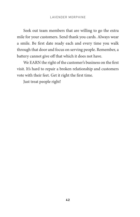Seek out team members that are willing to go the extra mile for your customers. Send thank you cards. Always wear a smile. Be first date ready each and every time you walk through that door and focus on serving people. Remember, a battery cannot give off that which it does not have.

We EARN the right of the customer's business on the first visit. It's hard to repair a broken relationship and customers vote with their feet. Get it right the first time.

Just treat people right!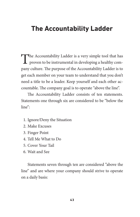## **The Accountability Ladder**

The Accountability Ladder is a very simple tool that has proven to be instrumental in developing a healthy company culture. The purpose of the Accountability Ladder is to get each member on your team to understand that you don't need a title to be a leader. Keep yourself and each other accountable. The company goal is to operate "above the line".

The Accountability Ladder consists of ten statements. Statements one through six are considered to be "below the  $\lim e^{v}$ 

- 1. Ignore/Deny the Situation
- 2. Make Excuses
- 3. Finger Point
- 4. Tell Me What to Do
- 5. Cover Your Tail
- 6. Wait and See

Statements seven through ten are considered "above the line" and are where your company should strive to operate on a daily basis: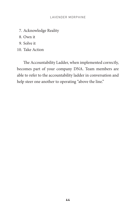- 7. Acknowledge Reality
- 8. Own it
- 9. Solve it
- 10. Take Action

The Accountability Ladder, when implemented correctly, becomes part of your company DNA. Team members are able to refer to the accountability ladder in conversation and help steer one another to operating "above the line."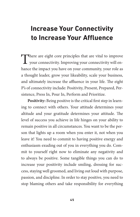# **Increase Your Connectivity to Increase Your Affluence**

There are eight core principles that are vital to improve your connectivity. Improving your connectivity will enhance the impact you have on your community, your role as a thought leader, grow your likeability, scale your business, and ultimately increase the affluence in your life. The eight P's of connectivity include: Positivity, Present, Prepared, Persistence, Press In, Pour In, Perform and Prioritize.

**Positivity:** Being positive is the critical first step in learning to connect with others. Your attitude determines your altitude and your gratitude determines your attitude. The level of success you achieve in life hinges on your ability to remain positive in all circumstances. You want to be the person that lights up a room when you enter it, not when you leave it! You need to commit to having positive energy and enthusiasm exuding out of you in everything you do. Commit to yourself right now to eliminate any negativity and to always be positive. Some tangible things you can do to increase your positivity include smiling, dressing for success, staying well groomed, and living out loud with purpose, passion, and discipline. In order to stay positive, you need to stop blaming others and take responsibility for everything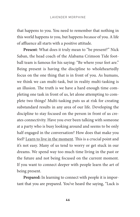that happens to you. You need to remember that nothing in this world happens *to* you, but happens *because* of you. A life of affluence all starts with a positive attitude.

**Present**: What does it truly mean to "be present?" Nick Saban, the head coach of the Alabama Crimson Tide football team is famous for his saying: "Be where your feet are." Being present is having the discipline to wholeheartedly focus on the one thing that is in front of you. As humans, we think we can multi-task, but in reality multi-tasking is an illusion. The truth is we have a hard enough time completing one task in front of us, let alone attempting to complete two things! Multi-tasking puts us at risk for creating substandard results in any area of our life. Developing the discipline to stay focused on the person in front of us creates connectivity. Have you ever been talking with someone at a party who is busy looking around and seems to be only half engaged in the conversation? How does that make you feel? Learn to live in the moment. This is a crucial point and it's not easy. Many of us tend to worry or get stuck in our dreams. We spend way too much time living in the past or the future and not being focused on the current moment. If you want to connect deeper with people learn the art of being present.

**Prepared:** In learning to connect with people it is important that you are prepared. You've heard the saying, "Luck is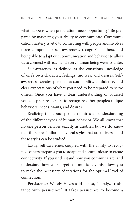what happens when preparation meets opportunity." Be prepared by mastering your ability to communicate. Communication mastery is vital to connecting with people and involves three components: self-awareness, recognizing others, and being able to adapt our communication and behavior to allow us to connect with each and every human being we encounter.

Self-awareness is defined as the conscious knowledge of one's own character, feelings, motives, and desires. Selfawareness creates personal accountability, confidence, and clear expectations of what you need to be prepared to serve others. Once you have a clear understanding of yourself you can prepare to start to recognize other people's unique behaviors, needs, wants, and desires.

Realizing this about people requires an understanding of the different types of human behavior. We all know that no one person behaves exactly as another, but we do know that there are similar behavioral styles that are universal and these styles can be studied.

Lastly, self-awareness coupled with the ability to recognize others prepares you to adapt and communicate to create connectivity. If you understand how you communicate, and understand how your target communicates, this allows you to make the necessary adaptations for the optimal level of connection.

**Persistence:** Woody Hayes said it best, "Paralyze resistance with persistence." It takes persistence to become a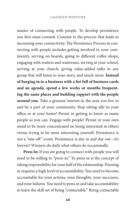master of connecting with people. To develop persistence you first must commit. Commit to the process that leads to increasing your connectivity. The Persistence Process in connecting with people includes getting involved in your community, serving on boards, going to different coffee shops, engaging with waiters and waitresses, serving at your school, serving at your church, giving value-added talks to any group that will listen to your story, and much more. **Instead of barging in to a business with a fist full of business cards and an agenda, spend a few weeks or months frequenting the same places and building rapport with the people around you.** Take a genuine interest in the area you live in and be a part of your community. Stop sitting idle in your office or at your home! Persist in getting to know as many people as you can. Engage with people! Persist in your own mind to be more concentrated on being interested in others versus trying to be more interesting yourself. Persistence is not a "one-off" event. Persistence is day in and day out—it's forever! Winners do daily what others do occasionally.

**Press In:** If you are going to connect with people you will need to be willing to "press in." To press in is the concept of taking responsibility for your half of the relationship. Pressing in requires a high level of accountability. You need to become accountable for your actions, your thoughts, your successes, and your failures. You need to press in and take accountability to learn the skill set of being "contactable." Being contactable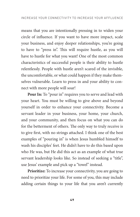means that you are intentionally pressing in to widen your circle of influence. If you want to have more impact, scale your business, and enjoy deeper relationships, you're going to have to "press in". This will require hustle, as you will have to hustle for what you want! One of the most common characteristics of successful people is their ability to hustle relentlessly. People with hustle aren't scared of the invisible, the uncomfortable, or what could happen if they make themselves vulnerable. Learn to press in and your ability to connect with more people will soar!

**Pour In:** To "pour in" requires you to serve and lead with your heart. You must be willing to give above and beyond yourself in order to enhance your connectivity. Become a servant leader in your business, your home, your church, and your community, and then focus on what you can do for the betterment of others. The only way to truly receive is to give first, with no strings attached. I think one of the best examples of "pouring in" is when Jesus humbled himself to wash his disciples' feet. He didn't have to do this based upon who He was, but He did this act as an example of what true servant leadership looks like. So instead of seeking a "title", use Jesus' example and pick up a "towel" instead.

Prioritize: To increase your connectivity, you are going to need to prioritize your life. For some of you, this may include adding certain things to your life that you aren't currently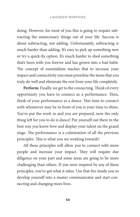doing. However, for most of you this is going to require subtracting the unnecessary things out of your life. Success is about subtracting, not adding. Unfortunately, subtracting is much harder than adding. It's easy to pick up something new or try a quick-fix option. It's much harder to shed something that's been with you forever and has grown into a bad habit. The concept of essentialism teaches that to increase your impact and connectivity you must prioritize the items that you truly do well and eliminate the rest from your life completely.

**Perform:** Finally, we get to the connecting. Think of every opportunity you have to connect as a performance. Then, think of your performance as a dance. This time to connect with whomever may be in front of you is your time to shine. You've put the work in and you are prepared, now the only thing left for you to do is dance! Put yourself out there in the best way you know how and display your talent on the grand stage. The performance is a culmination of all the previous principles. This is what you are working towards!

All these principles will allow you to connect with more people and increase your impact. They will require due diligence on your part and some areas are going to be more challenging than others. If you were inspired by any of these principles, you've got what it takes. Use that fire inside you to develop yourself into a master communicator and start connecting and changing more lives.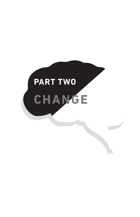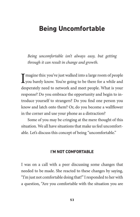## **Being Uncomfortable**

*Being uncomfortable isn't always easy, but getting through it can result in change and growth.* 

I magine this: you've just walked into a large room of people<br>you barely know. You're going to be there for a while and T magine this: you've just walked into a large room of people desperately need to network and meet people. What is your response? Do you embrace the opportunity and begin to introduce yourself to strangers? Do you find one person you know and latch onto them? Or, do you become a wallflower in the corner and use your phone as a distraction?

Some of you may be cringing at the mere thought of this situation. We all have situations that make us feel uncomfortable. Let's discuss this concept of being "uncomfortable."

### **I'm not comfortable**

I was on a call with a peer discussing some changes that needed to be made. She reacted to these changes by saying, "I'm just not comfortable doing that!" I responded to her with a question, "Are you comfortable with the situation you are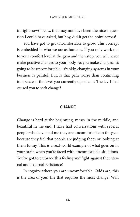in right now?" Now, that may not have been the nicest question I could have asked, but boy, did it get the point across!

You have got to get uncomfortable to grow. This concept is embedded in who we are as humans. If you only work out to your comfort level at the gym and then stop, you will never make positive changes to your body. As you make changes, it's going to be uncomfortable—frankly, changing systems in your business is painful! But, is that pain worse than continuing to operate at the level you currently operate at? The level that caused you to seek change?

#### **Change**

Change is hard at the beginning, messy in the middle, and beautiful in the end. I have had conversations with several people who have told me they are uncomfortable in the gym because they feel that people are judging them or looking at them funny. This is a real-world example of what goes on in your brain when you're faced with uncomfortable situations. You've got to embrace this feeling and fight against the internal and external resistance!

Recognize where you are uncomfortable. Odds are, this is the area of your life that requires the most change! Walt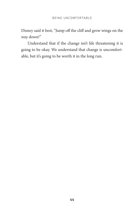Disney said it best, "Jump off the cliff and grow wings on the way down!"

Understand that if the change isn't life threatening it is going to be okay. We understand that change is uncomfortable, but it's going to be worth it in the long run.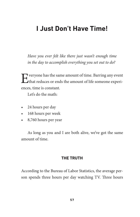## **I Just Don't Have Time!**

*Have you ever felt like there just wasn't enough time in the day to accomplish everything you set out to do?* 

Everyone has the same amount of time. Barring any event that reduces or ends the amount of life someone experiences, time is constant.

Let's do the math:

- 24 hours per day
- • 168 hours per week
- • 8,760 hours per year

As long as you and I are both alive, we've got the same amount of time.

### **The Truth**

According to the Bureau of Labor Statistics, the average person spends three hours per day watching TV. Three hours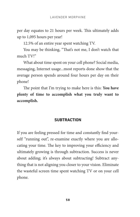per day equates to 21 hours per week. This ultimately adds up to 1,095 hours per year!

12.5% of an entire year spent watching TV.

You may be thinking, "That's not me, I don't watch that much TV!"

What about time spent on your cell phone? Social media, messaging, Internet usage...most reports done show that the average person spends around four hours per day on their phone!

The point that I'm trying to make here is this: **You have plenty of time to accomplish what you truly want to accomplish.**

### **Subtraction**

If you are feeling pressed for time and constantly find yourself "running out", re-examine exactly where you are allocating your time. The key to improving your efficiency and ultimately growing is through subtraction. Success is never about adding; it's always about subtracting! Subtract anything that is not aligning you closer to your vision. Eliminate the wasteful screen time spent watching TV or on your cell phone.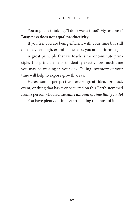### You might be thinking, "I don't waste time!" My response? **Busy-ness does not equal productivity.**

If you feel you are being efficient with your time but still don't have enough, examine the tasks you are performing.

A great principle that we teach is the one-minute principle. This principle helps to identify exactly how much time you may be wasting in your day. Taking inventory of your time will help to expose growth areas.

Here's some perspective—every great idea, product, event, or thing that has ever occurred on this Earth stemmed from a person who had the *same amount of time that you do!*

You have plenty of time. Start making the most of it.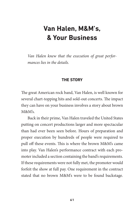## **Van Halen, M&M's, & Your Business**

*Van Halen knew that the execution of great performances lies in the details.*

### **The Story**

The great American rock band, Van Halen, is well known for several chart-topping hits and sold-out concerts. The impact they can have on your business involves a story about brown  $M\&M\&$ 

Back in their prime, Van Halen traveled the United States putting on concert productions larger and more spectacular than had ever been seen before. Hours of preparation and proper execution by hundreds of people were required to pull off these events. This is where the brown M&M's came into play. Van Halen's performance contract with each promoter included a section containing the band's requirements. If these requirements were not fully met, the promoter would forfeit the show at full pay. One requirement in the contract stated that no brown M&M's were to be found backstage.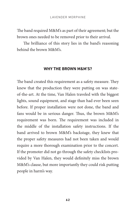The band required M&M's as part of their agreement; but the brown ones needed to be removed prior to their arrival.

The brilliance of this story lies in the band's reasoning behind the brown M&M's.

#### **Why the Brown M&M's?**

The band created this requirement as a safety measure. They knew that the production they were putting on was stateof-the-art. At the time, Van Halen traveled with the biggest lights, sound equipment, and stage than had ever been seen before. If proper installation were not done, the band and fans would be in serious danger. Thus, the brown M&M's requirement was born. The requirement was included in the middle of the installation safety instructions. If the band arrived to brown M&M's backstage, they knew that the proper safety measures had not been taken and would require a more thorough examination prior to the concert. If the promoter did not go through the safety checklists provided by Van Halen, they would definitely miss the brown M&M's clause, but more importantly they could risk putting people in harm's way.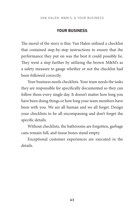van halen, m&m's, & your business

#### **Your Business**

The moral of the story is this: Van Halen utilized a checklist that contained step-by-step instructions to ensure that the performance they put on was the best it could possibly be. They went a step further by utilizing the brown M&M's as a safety measure to gauge whether or not the checklist had been followed correctly.

Your business needs checklists. Your team needs the tasks they are responsible for specifically documented so they can follow them every single day. It doesn't matter how long you have been doing things or how long your team members have been with you. We are all human and we all forget. Design your checklists to be all encompassing and don't forget the specific details.

Without checklists, the bathrooms are forgotten, garbage cans remain full, and tissue boxes stand empty.

Exceptional customer experiences are executed in the details.

**63**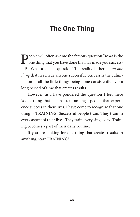# **The One Thing**

People will often ask me the famous question "what is the one thing that you have done that has made you successful?" What a loaded question! The reality is there is *no one thing* that has made anyone successful. Success is the culmination of all the little things being done consistently over a long period of time that creates results.

However, as I have pondered the question I feel there is one thing that is consistent amongst people that experience success in their lives. I have come to recognize that one thing is **TRAINING!** Successful people train. They train in every aspect of their lives. They train every single day! Training becomes a part of their daily routine.

If you are looking for one thing that creates results in anything, start **TRAINING**!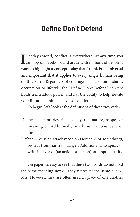# **Define Don't Defend**

In today's world, conflict is everywhere. At any time you<br>
can hop on Facebook and argue with millions of people. I Tn today's world, conflict is everywhere. At any time you want to highlight a concept today that I think is so universal and important that it applies to every single human being on this Earth. Regardless of your age, socioeconomic status, occupation or lifestyle, the "Define Don't Defend" concept holds tremendous power, and has the ability to help elevate your life and eliminate needless conflict.

To begin, let's look at the definitions of these two verbs:

- Define—state or describe exactly the nature, scope, or meaning of. Additionally, mark out the boundary or limits of.
- Defend—resist an attack made on (someone or something); protect from harm or danger. Additionally, to speak or write in favor of (an action or person); attempt to justify.

On paper it's easy to see that these two words do not hold the same meaning nor do they represent the same behaviors. However, they are often used in place of one another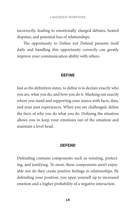incorrectly, leading to emotionally charged debates, heated disputes, and potential loss of relationships.

The opportunity to Define not Defend presents itself daily and handling this opportunity correctly can greatly improve your communication ability with others.

#### **DEFINE**

Just as the definition states, to define is to declare exactly who you are, what you do, and how you do it. Marking out exactly where you stand and supporting your stance with facts, data, and your past experiences. When you are challenged, define the facts of why you do what you do. Defining the situation allows you to keep your emotions out of the situation and maintain a level head.

#### **DEFEND**

Defending contains components such as resisting, protecting, and justifying. To most, these components aren't enjoyable nor do they create positive feelings in relationships. By defending your position, you open yourself up to increased emotion and a higher probability of a negative interaction.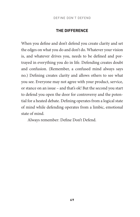## **The Difference**

When you define and don't defend you create clarity and set the edges on what you do and don't do. Whatever your vision is, and whatever drives you, needs to be defined and portrayed in everything you do in life. Defending creates doubt and confusion. (Remember, a confused mind always says no.) Defining creates clarity and allows others to see what you see. Everyone may not agree with your product, service, or stance on an issue – and that's ok! But the second you start to defend you open the door for controversy and the potential for a heated debate. Defining operates from a logical state of mind while defending operates from a limbic, emotional state of mind.

Always remember: Define Don't Defend.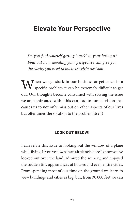# **Elevate Your Perspective**

*Do you find yourself getting "stuck" in your business? Find out how elevating your perspective can give you the clarity you need to make the right decision.* 

When we get stuck in our business or get stuck in a specific problem it can be extremely difficult to get out. Our thoughts become consumed with solving the issue we are confronted with. This can lead to tunnel vision that causes us to not only miss out on other aspects of our lives but oftentimes the solution to the problem itself!

## **Look out Below!**

I can relate this issue to looking out the window of a plane while flying. If you've flown in an airplane before I know you've looked out over the land, admired the scenery, and enjoyed the sudden tiny appearances of houses and even entire cities. From spending most of our time on the ground we learn to view buildings and cities as big, but, from 30,000 feet we can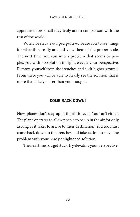appreciate how small they truly are in comparison with the rest of the world.

When we elevate our perspective, we are able to see things for what they really are and view them at the proper scale. The next time you run into a problem that seems to perplex you with no solution in sight, elevate your perspective. Remove yourself from the trenches and seek higher ground. From there you will be able to clearly see the solution that is more than likely closer than you thought.

### **Come Back Down!**

Now, planes don't stay up in the air forever. You can't either. The plane operates to allow people to be up in the air for only as long as it takes to arrive to their destination. You too must come back down to the trenches and take action to solve the problem with your newly enlightened solution.

The next time you get stuck, try elevating your perspective!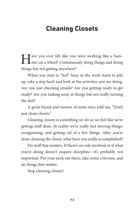# **Cleaning Closets**

I ave you ever felt like you were working like a ham-<br>ster on a wheel? Continuously doing things and doing things but not getting anywhere?

When you start to "feel" busy or the work starts to pile up, take a step back and look at the activities you are doing. Are you just checking emails? Are you getting ready to get ready? Are you tasking away at things but not really turning the dial?

A great friend and mentor of mine once told me, "Don't just clean closets."

Cleaning closets is something we do so we feel like we're getting stuff done. In reality we're really just moving things, reorganizing, and getting rid of a few things. After you're done cleaning the closet, what have you really accomplished?

Do stuff that matters. If there's no risk involved or if what you're doing doesn't require discipline—it's probably not important. Put your neck out there, take some criticism, and do things that matter.

Stop cleaning closets!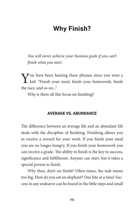# **Why Finish?**

You will never achieve your business goals if you can't *finish what you start.* 

You have been hearing these phrases since you were a kid: "Finish your meal, finish your homework, finish the race, and so on..."

Why is there all this focus on finishing?

### **Average vs. Abundance**

The difference between an average life and an abundant life deals with the discipline of finishing. Finishing allows you to receive a reward for your work. If you finish your meal you are no longer hungry. If you finish your homework you can receive a grade. The ability to finish is the key to success, significance and fulfillment. Anyone can start, but it takes a special person to finish.

Why then, don't we finish? Often times, the task seems too big. How do you eat an elephant? One bite at a time! Success in any endeavor can be found in the little steps and small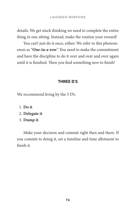details. We get stuck thinking we need to complete the entire thing in one sitting. Instead, make the routine your reward!

You can't just do it once, either. We refer to this phenomenon as "**One-in-a-row**". You need to make the commitment and have the discipline to do it over and over and over again until it is finished. Then you find something new to finish!

## **Three D's**

We recommend living by the 3 D's:

- 1. **Do it**
- 2. **Delegate it**
- 3. **Dump it**.

Make your decision and commit right then and there. If you commit to doing it, set a timeline and time allotment to finish it.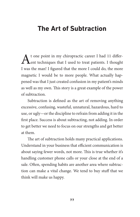# **The Art of Subtraction**

t one point in my chiropractic career I had 11 differ-Lent techniques that I used to treat patients. I thought I was the man! I figured that the more I could do, the more magnetic I would be to more people. What actually happened was that I just created confusion in my patient's minds as well as my own. This story is a great example of the power of subtraction.

Subtraction is defined as the art of removing anything excessive, confusing, wasteful, unnatural, hazardous, hard to use, or ugly—or the discipline to refrain from adding it in the first place. Success is about subtracting, not adding. In order to get better we need to focus on our strengths and get better at them.

The art of subtraction holds many practical applications. Understand in your business that efficient communication is about saying fewer words, not more. This is true whether it's handling customer phone calls or your close at the end of a sale. Often, spending habits are another area where subtraction can make a vital change. We tend to buy stuff that we think will make us happy.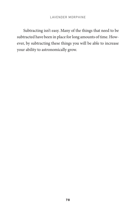Subtracting isn't easy. Many of the things that need to be subtracted have been in place for long amounts of time. However, by subtracting these things you will be able to increase your ability to astronomically grow.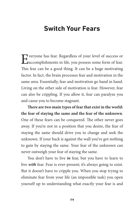# **Switch Your Fears**

Everyone has fear. Regardless of your level of success or accomplishments in life, you possess some form of fear. This fear can be a good thing. It can be a huge motivating factor. In fact, the brain processes fear and motivation in the same area. Essentially, fear and motivation go hand in hand. Living on the other side of motivation is fear. However, fear can also be crippling. If you allow it, fear can paralyze you and cause you to become stagnant.

**There are two main types of fear that exist in the world: the fear of staying the same and the fear of the unknown**. One of these fears can be conquered. The other never goes away. If you're not in a position that you desire, the fear of staying the same should drive you to change and seek the unknown. If your back is against the wall you've got nothing to gain by staying the same. Your fear of the unknown can never outweigh your fear of staying the same.

You don't have to live *in* fear, but you have to learn to live *with* fear. Fear is ever-present; it's always going to exist. But it doesn't have to cripple you. When you stop trying to eliminate fear from your life (an impossible task) you open yourself up to understanding what exactly your fear is and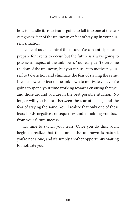how to handle it. Your fear is going to fall into one of the two categories: fear of the unknown or fear of staying in your current situation.

None of us can control the future. We can anticipate and prepare for events to occur, but the future is always going to possess an aspect of the unknown. You really can't overcome the fear of the unknown, but you can use it to motivate yourself to take action and eliminate the fear of staying the same. If you allow your fear of the unknown to motivate you, you're going to spend your time working towards ensuring that you and those around you are in the best possible situation. No longer will you be torn between the fear of change and the fear of staying the same. You'll realize that only one of these fears holds negative consequences and is holding you back from your future success.

It's time to switch your fears. Once you do this, you'll begin to realize that the fear of the unknown is natural, you're not alone, and it's simply another opportunity waiting to motivate you.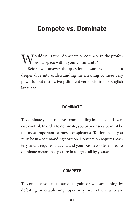## **Compete vs. Dominate**

 $\int$  ould you rather dominate or compete in the professional space within your community?

Before you answer the question, I want you to take a deeper dive into understanding the meaning of these very powerful but distinctively different verbs within our English language.

#### **Dominate**

To dominate you must have a commanding influence and exercise control. In order to dominate, you or your service must be the most important or most conspicuous. To dominate, you must be in a commanding position. Domination requires mastery, and it requires that you and your business offer more. To dominate means that you are in a league all by yourself.

#### **Compete**

To compete you must strive to gain or win something by defeating or establishing superiority over others who are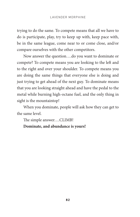trying to do the same. To compete means that all we have to do is participate, play, try to keep up with, keep pace with, be in the same league, come near to or come close, and/or compare ourselves with the other competitors.

Now answer the question….do you want to dominate or compete? To compete means you are looking to the left and to the right and over your shoulder. To compete means you are doing the same things that everyone else is doing and just trying to get ahead of the next guy. To dominate means that you are looking straight ahead and have the pedal to the metal while burning high-octane fuel, and the only thing in sight is the mountaintop!

When you dominate, people will ask how they can get to the same level.

The simple answer….CLIMB!

## **Dominate, and abundance is yours!**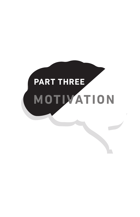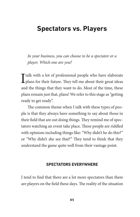# **Spectators vs. Players**

*In your business, you can choose to be a spectator or a player. Which one are you?*

I talk with a lot of professional people who have elaborate plans for their future. They tell me about their great ideas and the things that they want to do. Most of the time, these plans remain just that, plans! We refer to this stage as "getting ready to get ready".

The common theme when I talk with these types of people is that they always have something to say about those in their field that are out doing things. They remind me of spectators watching an event take place. These people are riddled with opinions including things like: "Why didn't he do this?" or "Why didn't she see that?" They tend to think that they understand the game quite well from their vantage point.

### **Spectators Everywhere**

I tend to find that there are a lot more spectators than there are players on the field these days. The reality of the situation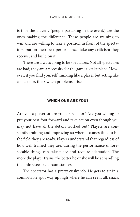is this: the players, (people partaking in the event,) are the ones making the difference. These people are training to win and are willing to take a position in front of the spectators, put on their best performance, take any criticism they receive, and build on it.

There are always going to be spectators. Not all spectators are bad; they are a necessity for the game to take place. However, if you find yourself thinking like a player but acting like a spectator, that's when problems arise.

## **Which one are you?**

Are you a player or are you a spectator? Are you willing to put your best foot forward and take action even though you may not have all the details worked out? Players are constantly training and improving so when it comes time to hit the field they are ready. Players understand that regardless of how well trained they are, during the performance unforeseeable things can take place and require adaptation. The more the player trains, the better he or she will be at handling the unforeseeable circumstances.

The spectator has a pretty cushy job. He gets to sit in a comfortable spot way up high where he can see it all, snack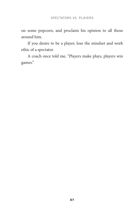on some popcorn, and proclaim his opinion to all those around him.

If you desire to be a player, lose the mindset and work ethic of a spectator.

A coach once told me, "Players make plays, players win games."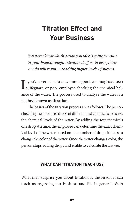# **Titration Effect and Your Business**

*You never know which action you take is going to result in your breakthrough. Intentional effort in everything you do will result in reaching higher levels of success.* 

 $\int_{a}^{f}$  you've ever been to a swimming pool you may have seen  $\int_{a}^{f}$  lifeguard or pool employee checking the chemical bal-**L**a lifeguard or pool employee checking the chemical balance of the water. The process used to analyze the water is a method known as **titration**.

The basics of the titration process are as follows. The person checking the pool uses drops of different test chemicals to assess the chemical levels of the water. By adding the test chemicals one drop at a time, the employee can determine the exact chemical level of the water based on the number of drops it takes to change the color of the water. Once the water changes color, the person stops adding drops and is able to calculate the answer.

### **What Can Titration Teach Us?**

What may surprise you about titration is the lesson it can teach us regarding our business and life in general. With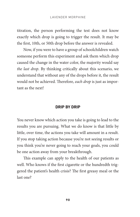titration, the person performing the test does not know exactly which drop is going to trigger the result. It may be the first, 10th, or 50th drop before the answer is revealed.

Now, if you were to have a group of schoolchildren watch someone perform this experiment and ask them which drop caused the change in the water color, the majority would say *the last drop*. By thinking critically about this scenario, we understand that without any of the drops before it, the result would not be achieved. Therefore, *each drop* is just as important as the next!

#### **Drip by Drip**

You never know which action you take is going to lead to the results you are pursuing. What we do know is that little by little, over time, the actions you take will amount in a result. If you stop taking action because you're not seeing results or you think you're never going to reach your goals, you could be one action away from your breakthrough.

This example can apply to the health of our patients as well. Who knows if the first cigarette or the hundredth triggered the patient's health crisis? The first greasy meal or the last one?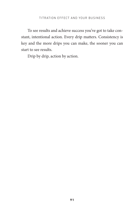To see results and achieve success you've got to take constant, intentional action. Every drip matters. Consistency is key and the more drips you can make, the sooner you can start to see results.

Drip by drip, action by action.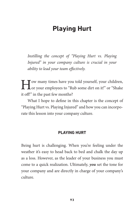# **Playing Hurt**

*Instilling the concept of "Playing Hurt vs. Playing Injured" in your company culture is crucial in your ability to lead your team effectively.* 

I Jow many times have you told yourself, your children,<br>or your employees to "Rub some dirt on it!" or "Shake it off!" in the past few months?

What I hope to define in this chapter is the concept of "Playing Hurt vs. Playing Injured" and how you can incorporate this lesson into your company culture.

## **Playing Hurt**

Being hurt is challenging. When you're feeling under the weather it's easy to head back to bed and chalk the day up as a loss. However, as the leader of your business you must come to a quick realization. Ultimately, *you* set the tone for your company and are directly in charge of your company's culture.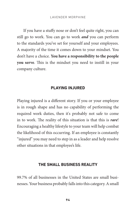If you have a stuffy nose or don't feel quite right, you can still go to work. You can go to work *and* you can perform to the standards you've set for yourself and your employees. A majority of the time it comes down to your mindset. You don't have a choice. **You have a responsibility to the people you serve**. This is the mindset you need to instill in your company culture.

#### **Playing Injured**

Playing injured is a different story. If you or your employee is in rough shape and has no capability of performing the required work duties, then it's probably not safe to come in to work. The reality of this situation is that this is *rare*! Encouraging a healthy lifestyle to your team will help combat the likelihood of this occurring. If an employee is constantly "injured" you may need to step in as a leader and help resolve other situations in that employee's life.

#### **The Small Business Reality**

99.7% of all businesses in the United States are small businesses. Your business probably falls into this category. A small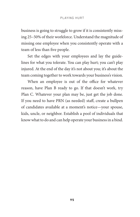business is going to struggle to grow if it is consistently missing 25–50% of their workforce. Understand the magnitude of missing one employee when you consistently operate with a team of less than five people.

Set the edges with your employees and lay the guidelines for what you tolerate. You can play hurt; you can't play injured. At the end of the day it's not about you; it's about the team coming together to work towards your business's vision.

When an employee is out of the office for whatever reason, have Plan B ready to go. If that doesn't work, try Plan C. Whatever your plan may be, just get the job done. If you need to have PRN (as needed) staff, create a bullpen of candidates available at a moment's notice—your spouse, kids, uncle, or neighbor. Establish a pool of individuals that know what to do and can help operate your business in a bind.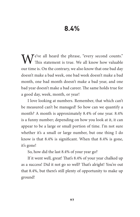## **8.4%**

We've all heard the phrase, "every second counts."<br>This statement is true. We all know how valuable our time is. On the contrary, we also know that one bad day doesn't make a bad week, one bad week doesn't make a bad month, one bad month doesn't make a bad year, and one bad year doesn't make a bad career. The same holds true for a good day, week, month, or year!

I love looking at numbers. Remember, that which can't be measured can't be managed! So how can we quantify a month? A month is approximately 8.4% of one year. 8.4% is a funny number; depending on how you look at it, it can appear to be a large or small portion of time. I'm not sure whether it's a small or large number, but one thing I do know is that 8.4% is significant. When that 8.4% is gone, it's gone!

So, how did the last 8.4% of your year go?

If it went well, great! That's 8.4% of your year chalked up as a success! Did it not go so well? That's alright! You're out that 8.4%, but there's still plenty of opportunity to make up ground!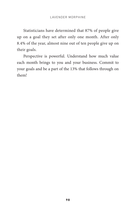Statisticians have determined that 87% of people give up on a goal they set after only one month. After only 8.4% of the year, almost nine out of ten people give up on their goals.

Perspective is powerful. Understand how much value each month brings to you and your business. Commit to your goals and be a part of the 13% that follows through on them!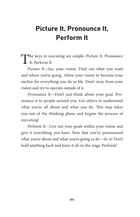# **Picture It, Pronounce It, Perform It**

The keys to executing are simple: Picture It, Pronounce<br>It, Perform It.

Picture It—See your vision. Find out what you want and where you're going. Allow your vision to become your anchor for everything you do in life. Don't stray from your vision and try to operate outside of it.

Pronounce It—Don't just think about your goal. Pronounce it to people around you. Get others to understand what you're all about and what you do. This step takes you out of the thinking phase and begins the process of executing!

Perform It—Live out your goals within your vision and give it everything you have. Now that you've pronounced what you're about and what you're going to do—do it! Don't hold anything back and leave it all on the stage. Perform!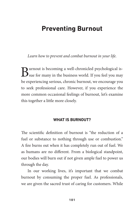### **Preventing Burnout**

*Learn how to prevent and combat burnout in your life.*

Burnout is becoming a well-chronicled psychological is-<br>sue for many in the business world. If you feel you may be experiencing serious, chronic burnout, we encourage you to seek professional care. However, if you experience the more common occasional feelings of burnout, let's examine this together a little more closely.

#### **What is Burnout?**

The scientific definition of burnout is "the reduction of a fuel or substance to nothing through use or combustion." A fire burns out when it has completely run out of fuel. We as humans are no different. From a biological standpoint, our bodies will burn out if not given ample fuel to power us through the day.

In our working lives, it's important that we combat burnout by consuming the proper fuel. As professionals, we are given the sacred trust of caring for customers. While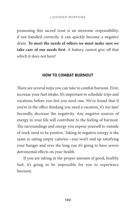possessing this sacred trust is an awesome responsibility, if not handled correctly, it can quickly become a negative drain. **To meet the needs of others we must make sure we take care of our needs first**. A battery cannot give off that which it does not have!

#### **How to Combat Burnout**

There are several steps you can take to combat burnout. First, increase your fuel intake. It's important to schedule trips and vacations before you feel you need one. We've found that if you're in the office thinking you need a vacation, it's too late! Secondly, decrease the negativity. Any negative sources of energy in your life will contribute to the feeling of burnout. The surroundings and energy you expose yourself to outside of work need to be positive. Taking in negative energy is the same as eating empty calories—you won't end up satisfying your hunger and over the long run it's going to have severe detrimental effects on your health.

If you are taking in the proper amount of good, healthy fuel, it's going to be impossible for you to experience burnout.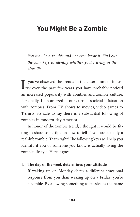### **You Might Be a Zombie**

*You may be a zombie and not even know it. Find out the four keys to identify whether you're living in the after-life.* 

 $\int$  f you've observed the trends in the entertainment indus-<br>try over the past few years you have probably noticed  $\mathbf T$  f you've observed the trends in the entertainment indusan increased popularity with zombies and zombie culture. Personally, I am amazed at our current societal infatuation with zombies. From TV shows to movies, video games to T-shirts, it's safe to say there is a substantial following of zombies in modern-day America.

In honor of the zombie trend, I thought it would be fitting to share some tips on how to tell if you are actually a real-life zombie. That's right! The following keys will help you identify if you or someone you know is actually living the zombie lifestyle. Here it goes!

### 1. **The day of the week determines your attitude**.

If waking up on Monday elicits a different emotional response from you than waking up on a Friday, you're a zombie. By allowing something as passive as the name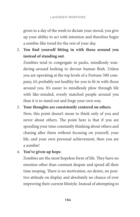given to a day of the week to dictate your mood, you give up your ability to act with intention and therefore begin a zombie-like trend for the rest of your day.

2. **You find yourself fitting in with those around you instead of standing out**.

Zombies tend to congregate in packs, mindlessly wandering around looking to devour human flesh. Unless you are operating at the top levels of a Fortune 500 company, it's probably not healthy for you to fit in with those around you. It's easier to mindlessly plow through life with like-minded, evenly matched people around you than it is to stand out and forge your own way.

3. **Your thoughts are consistently centered on others**.

Now, this point doesn't mean to think only of you and never about others. The point here is that if you are spending your time constantly thinking about others and chasing after them without focusing on yourself, your life, and your own personal achievement, then you are a zombie!

4. **You've given up hope**.

Zombies are the most hopeless form of life. They have no emotion other than constant despair and spend all their time moping. There is no motivation, no desire, no positive attitude on display and absolutely no chance of ever improving their current lifestyle. Instead of attempting to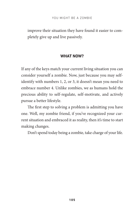improve their situation they have found it easier to completely give up and live passively.

### **What now?**

If any of the keys match your current living situation you can consider yourself a zombie. Now, just because you may selfidentify with numbers 1, 2, or 3, it doesn't mean you need to embrace number 4. Unlike zombies, we as humans hold the precious ability to self-regulate, self-motivate, and actively pursue a better lifestyle.

The first step to solving a problem is admitting you have one. Well, my zombie friend, if you've recognized your current situation and embraced it as reality, then it's time to start making changes.

Don't spend today being a zombie, take charge of your life.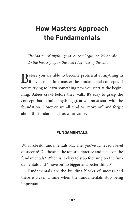# **How Masters Approach the Fundamentals**

*The Master of anything was once a beginner. What role do the basics play in the everyday lives of the elite?* 

Before you are able to become proficient at anything in life you must first master the fundamental concepts. If you're trying to learn something new you start at the beginning. Babies crawl before they walk. It's easy to grasp the concept that to build anything great you must start with the foundation. However, we all tend to "move on" and forget about the fundamentals as we advance.

### **Fundamentals**

What role do fundamentals play after you've achieved a level of success? Do those at the top still practice and focus on the fundamentals? When is it okay to stop focusing on the fundamentals and "move on" to bigger and better things?

Fundamentals are the building blocks of success and there is *never* a time when the fundamentals stop being important.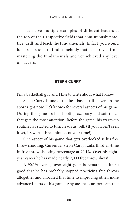I can give multiple examples of different leaders at the top of their respective fields that continuously practice, drill, and teach the fundamentals. In fact, you would be hard-pressed to find somebody that has strayed from mastering the fundamentals and yet achieved any level of success.

#### **Steph Curry**

I'm a basketball guy and I like to write about what I know.

Steph Curry is one of the best basketball players in the sport right now. He's known for several aspects of his game. During the game it's his shooting accuracy and soft touch that gets the most attention. Before the game, his warm-up routine has started to turn heads as well. (If you haven't seen it yet, it's worth three minutes of your time!)

One aspect of his game that gets overlooked is his free throw shooting. Currently, Steph Curry ranks third all-time in free throw shooting percentage at 90.1%. Over his eightyear career he has made nearly 2,000 free throw shots!

A 90.1% average over eight years is remarkable. It's so good that he has probably stopped practicing free throws altogether and allocated that time to improving other, more advanced parts of his game. Anyone that can perform that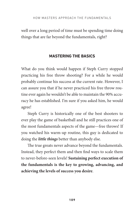well over a long period of time must be spending time doing things that are far beyond the fundamentals, right?

### **Mastering the Basics**

What do you think would happen if Steph Curry stopped practicing his free throw shooting? For a while he would probably continue his success at the current rate. However, I can assure you that if he never practiced his free throw routine ever again he wouldn't be able to maintain the 90% accuracy he has established. I'm sure if you asked him, he would agree!

Steph Curry is historically one of the best shooters to ever play the game of basketball and he still practices one of the most fundamentals aspects of the game—free throws! If you watched his warm-up routine, this guy is dedicated to doing the *little things* better than anybody else.

The true greats never advance beyond the fundamentals. Instead, they perfect them and then find ways to scale them to never-before-seen levels! **Sustaining perfect execution of the fundamentals is the key to growing, advancing, and achieving the levels of success you desire**.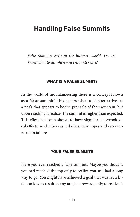### **Handling False Summits**

*False Summits exist in the business world. Do you know what to do when you encounter one?*

#### **What is a False Summit?**

In the world of mountaineering there is a concept known as a "false summit". This occurs when a climber arrives at a peak that appears to be the pinnacle of the mountain, but upon reaching it realizes the summit is higher than expected. This effect has been shown to have significant psychological effects on climbers as it dashes their hopes and can even result in failure.

### **Your False Summits**

Have you ever reached a false summit? Maybe you thought you had reached the top only to realize you still had a long way to go. You might have achieved a goal that was set a little too low to result in any tangible reward, only to realize it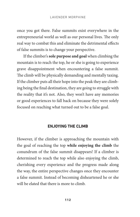once you got there. False summits exist everywhere in the entrepreneurial world as well as our personal lives. The only real way to combat this and eliminate the detrimental effects of false summits is to change your perspective.

If the climber's **sole purpose and goal** when climbing the mountain is to reach the top, he or she is going to experience grave disappointment when encountering a false summit. The climb will be physically demanding and mentally taxing. If the climber puts all their hope into the peak they are climbing being the final destination, they are going to struggle with the reality that it's not. Also, they won't have any memories or good experiences to fall back on because they were solely focused on reaching what turned out to be a false goal.

### **Enjoying The Climb**

However, if the climber is approaching the mountain with the goal of reaching the top **while enjoying the climb** the conundrum of the false summit disappears! If a climber is determined to reach the top while also enjoying the climb, cherishing every experience and the progress made along the way, the entire perspective changes once they encounter a false summit. Instead of becoming disheartened he or she will be elated that there is more to climb.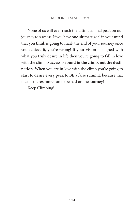None of us will ever reach the ultimate, final peak on our journey to success. If you have one ultimate goal in your mind that you think is going to mark the end of your journey once you achieve it, you're wrong! If your vision is aligned with what you truly desire in life then you're going to fall in love with the climb. **Success is found in the climb, not the destination**. When you are in love with the climb you're going to start to desire every peak to BE a false summit, because that means there's more fun to be had on the journey!

Keep Climbing!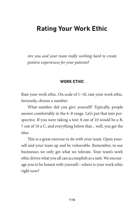### **Rating Your Work Ethic**

*Are you and your team really working hard to create positive experiences for your patients?*

#### **Work Ethic**

Rate your work ethic. On scale of 1–10, rate your work ethic. Seriously, choose a number.

What number did you give yourself? Typically, people answer comfortably in the 6–8 range. Let's put that into perspective. If you were taking a test: 8 out of 10 would be a B, 7 out of 10 a C, and everything below that... well, you get the idea.

This is a great exercise to do with your team. Open yourself and your team up and be vulnerable. Remember, in our businesses we only get what we tolerate. Your team's work ethic drives what you all can accomplish as a unit. We encourage you to be honest with yourself—where is your work ethic right now?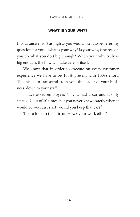### **What is Your Why?**

If your answer isn't as high as you would like it to be here's my question for you—what is your why? Is your why, (the reason you do what you do,) big enough? When your why truly is big enough, the how will take care of itself.

We know that in order to execute on every customer experience we have to be 100% present with 100% effort. This needs to transcend from you, the leader of your business, down to your staff.

I have asked employees "If you had a car and it only started 7 out of 10 times, but you never knew exactly when it would or wouldn't start, would you keep that car?"

Take a look in the mirror. How's your work ethic?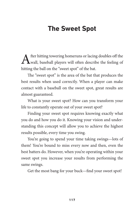### **The Sweet Spot**

After hitting towering homeruns or lacing doubles off the wall, baseball players will often describe the feeling of hitting the ball on the "sweet spot" of the bat.

The "sweet spot" is the area of the bat that produces the best results when used correctly. When a player can make contact with a baseball on the sweet spot, great results are almost guaranteed.

What is your sweet spot? How can you transform your life to constantly operate out of your sweet spot?

Finding your sweet spot requires knowing exactly what you do and how you do it. Knowing your vision and understanding this concept will allow you to achieve the highest results possible, every time you swing.

You're going to spend your time taking swings—lots of them! You're bound to miss every now and then, even the best batters do. However, when you're operating within your sweet spot you increase your results from performing the same swings.

Get the most bang for your buck—find your sweet spot!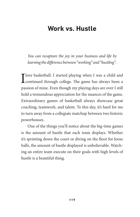### **Work vs. Hustle**

*You can recapture the joy in your business and life by learning the difference between "working" and "hustling".* 

T love basketball. I started playing when I was a child and **L** continued through college. The game has always been a passion of mine. Even though my playing days are over I still hold a tremendous appreciation for the nuances of the game. Extraordinary games of basketball always showcase great coaching, teamwork, and talent. To this day, it's hard for me to turn away from a collegiate matchup between two historic powerhouses.

One of the things you'll notice about the big-time games is the amount of hustle that each team displays. Whether it's sprinting down the court or diving on the floor for loose balls, the amount of hustle displayed is unbelievable. Watching an entire team execute on their goals with high levels of hustle is a beautiful thing.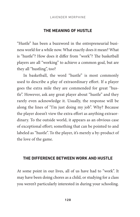#### **The Meaning of Hustle**

"Hustle" has been a buzzword in the entrepreneurial business world for a while now. What exactly does it mean? What is "hustle"? How does it differ from "work"? The basketball players are all "working" to achieve a common goal, but are they all "hustling", too?

In basketball, the word "hustle" is most commonly used to describe a play of extraordinary effort. If a player goes the extra mile they are commended for great "hustle". However, ask any great player about "hustle" and they rarely even acknowledge it. Usually, the response will be along the lines of "I'm just doing my job". Why? Because the player doesn't view the extra effort as anything extraordinary. To the outside world, it appears as an obvious case of exceptional effort; something that can be pointed to and labeled as "hustle". To the player, it's merely a by-product of the love of the game.

### **The Difference Between Work and Hustle**

At some point in our lives, all of us have had to "work". It may have been doing chores as a child, or studying for a class you weren't particularly interested in during your schooling.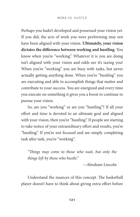Perhaps you hadn't developed and possessed your vision yet. If you did, the acts of work you were performing may not have been aligned with your vision. **Ultimately, your vision dictates the difference between working and hustling**. You know when you're "working". Whatever it is you are doing isn't aligned with your vision and odds are it's taxing you! When you're "working" you are busy with tasks, but never actually getting anything done. When you're "hustling" you are executing and able to accomplish things that matter and contribute to your success. You are energized and every time you execute on something it gives you a boost to continue to pursue your vision.

So, are you "working" or are you "hustling"? If all your effort and time is devoted to an ultimate goal and aligned with your vision, then you're "hustling". If people are starting to take notice of your extraordinary effort and results, you're "hustling". If you're not focused and are simply completing task after task, you're "working".

*"Things may come to those who wait, but only the things left by those who hustle."* 

—Abraham Lincoln

Understand the nuances of this concept. The basketball player doesn't have to think about giving extra effort before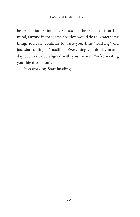he or she jumps into the stands for the ball. In his or her mind, anyone in that same position would do the exact same thing. You can't continue to waste your time "working" and just start calling it "hustling". Everything you do day in and day out has to be aligned with your vision. You're wasting your life if you don't.

Stop working. Start hustling.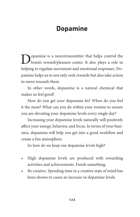## **Dopamine**

Dopamine is a neurotransmitter that helps control the brain's reward/pleasure center. It also plays a role in helping to regulate movement and emotional responses. Dopamine helps us to not only seek rewards but also take action to move towards them.

In other words, dopamine is a natural chemical that makes us feel good!

How do you get your dopamine fix? When do you feel it the most? What can you do within your routine to ensure you are elevating your dopamine levels every single day?

Increasing your dopamine levels naturally will positively affect your energy, behavior, and focus. In terms of your business, dopamine will help you get into a good workflow and create a fun atmosphere.

So how do we keep our dopamine levels high?

- • High dopamine levels are produced with rewarding activities and achievements. Finish something.
- Be creative. Spending time in a creative state of mind has been shown to cause an increase in dopamine levels.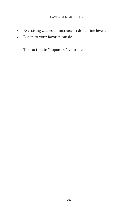- • Exercising causes an increase in dopamine levels.
- • Listen to your favorite music.

Take action to "dopamize" your life.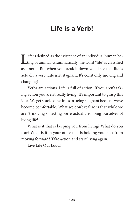## **Life is a Verb!**

Life is defined as the existence of an individual human be-<br>ling or animal. Grammatically, the word "life" is classified as a noun. But when you break it down you'll see that life is actually a verb. Life isn't stagnant. It's constantly moving and changing!

Verbs are actions. Life is full of action. If you aren't taking action you aren't really living! It's important to grasp this idea. We get stuck sometimes in being stagnant because we've become comfortable. What we don't realize is that while we aren't moving or acting we're actually robbing ourselves of living life!

What is it that is keeping you from living? What do you fear? What is it in your office that is holding you back from moving forward? Take action and start living again.

Live Life Out Loud!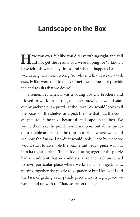### **Landscape on the Box**

Have you ever felt like you did everything right and still did not get the results you were hoping for? I know I have felt this way many times, and when it happens I am left wondering what went wrong. So, why is it that if we do a task exactly like were told to do it, sometimes it does not provide the end results that we desire?

I remember when I was a young boy my brothers and I loved to work on putting together puzzles. It would start out by picking out a puzzle at the store. We would look at all the boxes on the shelves and pick the one that had the coolest picture or the most beautiful landscape on the box. We would then take the puzzle home and pour out all the pieces onto a table and set the box up in a place where we could see how the finished product would look. Piece by piece we would start to assemble the puzzle until each piece was put into its rightful place. The task of putting together the puzzle had an endpoint that we could visualize and each piece had it's own particular place where we knew it belonged. Now, putting together the puzzle took patience but I knew if I did the task of getting each puzzle piece into its right place we would end up with the "landscape on the box".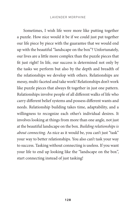Sometimes, I wish life were more like putting together a puzzle. How nice would it be if we could just put together our life piece by piece with the guarantee that we would end up with the beautiful "landscape on the box"? Unfortunately, our lives are a little more complex than the puzzle pieces that fit just right! In life, our success is determined not only by the tasks we perform but also by the depth and breadth of the relationships we develop with others. Relationships are messy, multi-faceted and take work! Relationships don't work like puzzle pieces that always fit together in just one pattern. Relationships involve people of all different walks of life who carry different belief systems and possess different wants and needs. Relationship building takes time, adaptability, and a willingness to recognize each other's individual desires. It involves looking at things from more than one angle, not just at the beautiful landscape on the box. *Building relationships is about connecting.* As nice as it would be, you can't just "task" your way to better relationships. You also can't task your way to success. Tasking without connecting is useless. If you want your life to end up looking like the "landscape on the box", start connecting instead of just tasking!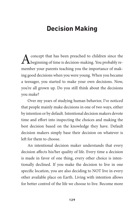## **Decision Making**

concept that has been preached to children since the beginning of time is decision-making. You probably remember your parents teaching you the importance of making good decisions when you were young. When you became a teenager, you started to make your own decisions. Now, you're all grown up. Do you still think about the decisions you make?

Over my years of studying human behavior, I've noticed that people mainly make decisions in one of two ways, either by intention or by default. Intentional decision makers devote time and effort into inspecting the choices and making the best decision based on the knowledge they have. Default decision makers simply base their decision on whatever is left for them to choose.

An intentional decision maker understands that every decision affects his/her quality of life. Every time a decision is made in favor of one thing, every other choice is intentionally declined. If you make the decision to live in one specific location, you are also deciding to NOT live in every other available place on Earth. Living with intention allows for better control of the life we choose to live. Become more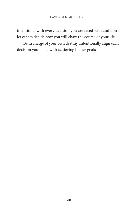intentional with every decision you are faced with and don't let others decide how you will chart the course of your life.

Be in charge of your own destiny. Intentionally align each decision you make with achieving higher goals.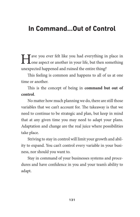### **In Command…Out of Control**

I ave you ever felt like you had everything in place in one aspect or another in your life, but then something unexpected happened and ruined the entire thing?

This feeling is common and happens to all of us at one time or another.

This is the concept of being in **command but out of control**.

No matter how much planning we do, there are still those variables that we can't account for. The takeaway is that we need to continue to be strategic and plan, but keep in mind that at any given time you may need to adapt your plans. Adaptation and change are the real juice where possibilities take place.

Striving to stay in control will limit your growth and ability to expand. You can't control every variable in your business, nor should you want to.

Stay in command of your businesses systems and procedures and have confidence in you and your team's ability to adapt.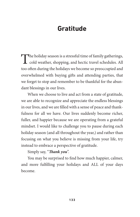## **Gratitude**

The holiday season is a stressful time of family gatherings, cold weather, shopping, and hectic travel schedules. All too often during the holidays we become so preoccupied and overwhelmed with buying gifts and attending parties, that we forget to stop and remember to be thankful for the abundant blessings in our lives.

When we choose to live and act from a state of gratitude, we are able to recognize and appreciate the endless blessings in our lives, and we are filled with a sense of peace and thankfulness for all we have. Our lives suddenly become richer, fuller, and happier because we are operating from a grateful mindset. I would like to challenge you to pause during each holiday season (and all throughout the year,) and rather than focusing on what you believe is missing from your life, try instead to embrace a perspective of gratitude.

Simply say, "*Thank you*".

You may be surprised to find how much happier, calmer, and more fulfilling your holidays and ALL of your days become.